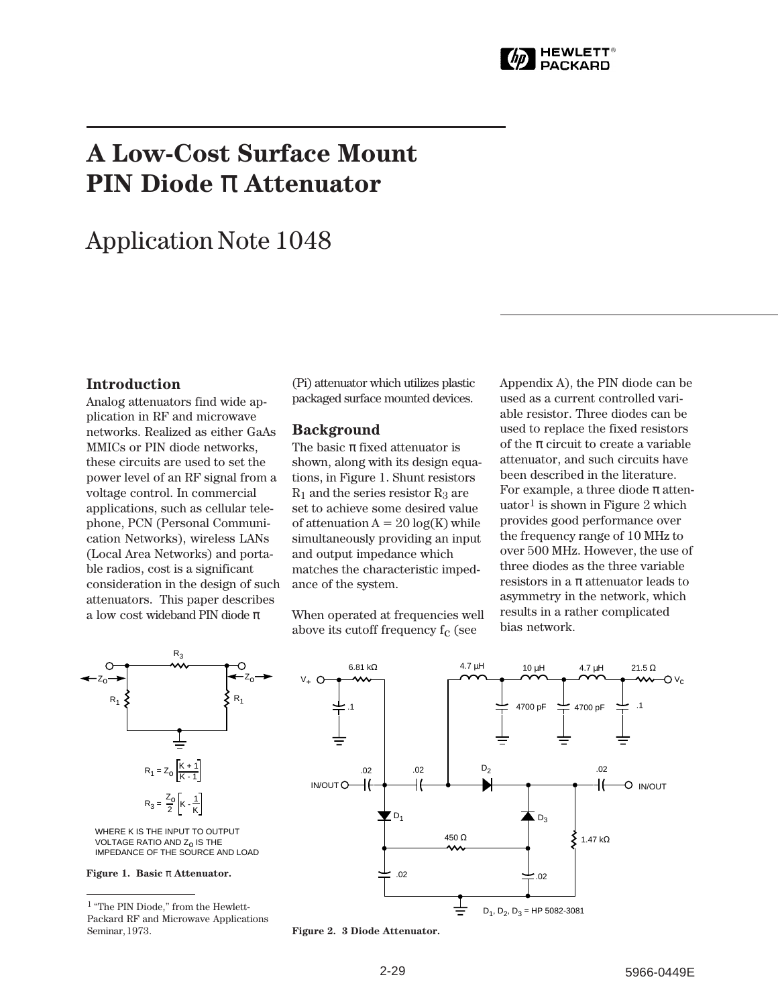

# **A Low-Cost Surface Mount PIN Diode** π **Attenuator**

## Application Note 1048

### **Introduction**

Analog attenuators find wide application in RF and microwave networks. Realized as either GaAs MMICs or PIN diode networks, these circuits are used to set the power level of an RF signal from a voltage control. In commercial applications, such as cellular telephone, PCN (Personal Communication Networks), wireless LANs (Local Area Networks) and portable radios, cost is a significant consideration in the design of such attenuators. This paper describes a low cost wideband PIN diode  $\pi$ 

(Pi) attenuator which utilizes plastic packaged surface mounted devices.

#### **Background**

The basic  $\pi$  fixed attenuator is shown, along with its design equations, in Figure 1. Shunt resistors  $R_1$  and the series resistor  $R_3$  are set to achieve some desired value of attenuation  $A = 20 \log(K)$  while simultaneously providing an input and output impedance which matches the characteristic impedance of the system.

When operated at frequencies well above its cutoff frequency  $f_c$  (see

Appendix A), the PIN diode can be used as a current controlled variable resistor. Three diodes can be used to replace the fixed resistors of the  $\pi$  circuit to create a variable attenuator, and such circuits have been described in the literature. For example, a three diode  $\pi$  attenuator<sup>1</sup> is shown in Figure 2 which provides good performance over the frequency range of 10 MHz to over 500 MHz. However, the use of three diodes as the three variable resistors in a  $\pi$  attenuator leads to asymmetry in the network, which results in a rather complicated bias network.



IMPEDANCE OF THE SOURCE AND LOAD

**Figure 1. Basic** π **Attenuator.**

<sup>1 &</sup>quot;The PIN Diode," from the Hewlett-Packard RF and Microwave Applications Seminar, 1973. **Figure 2. 3 Diode Attenuator.**

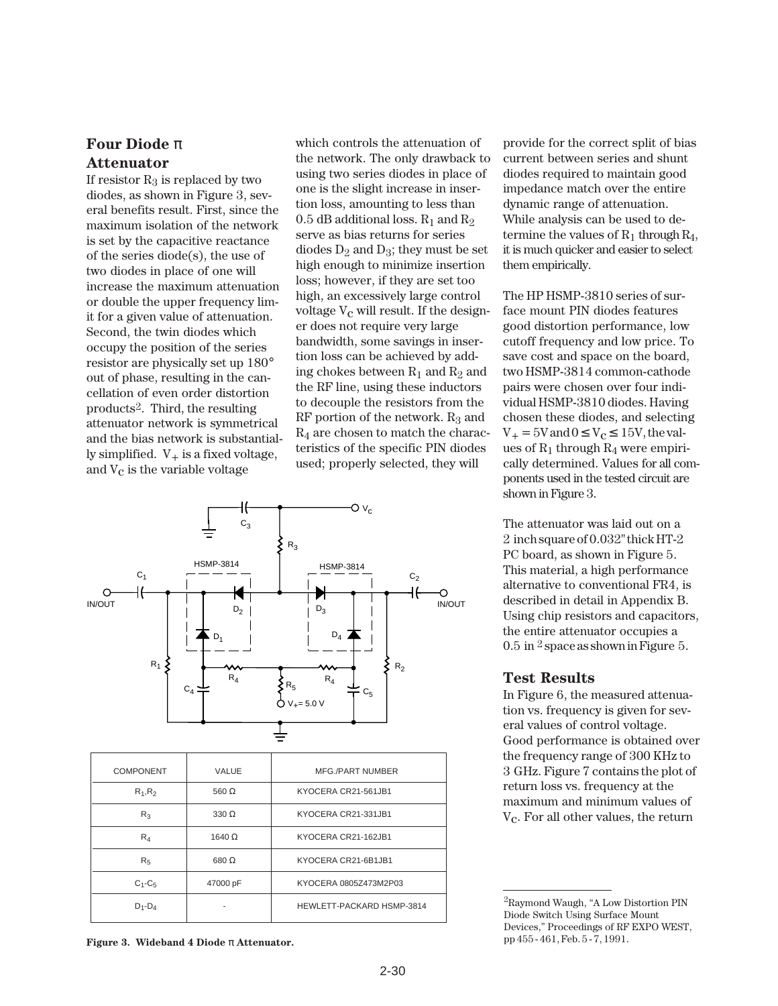## **Four Diode** π **Attenuator**

If resistor  $R_3$  is replaced by two diodes, as shown in Figure 3, several benefits result. First, since the maximum isolation of the network is set by the capacitive reactance of the series diode(s), the use of two diodes in place of one will increase the maximum attenuation or double the upper frequency limit for a given value of attenuation. Second, the twin diodes which occupy the position of the series resistor are physically set up 180° out of phase, resulting in the cancellation of even order distortion products2. Third, the resulting attenuator network is symmetrical and the bias network is substantially simplified.  $V_+$  is a fixed voltage, and  $V_c$  is the variable voltage

which controls the attenuation of the network. The only drawback to using two series diodes in place of one is the slight increase in insertion loss, amounting to less than  $0.5$  dB additional loss.  $\rm R_1$  and  $\rm R_2$ serve as bias returns for series diodes  $D_2$  and  $D_3$ ; they must be set high enough to minimize insertion loss; however, if they are set too high, an excessively large control voltage  $V_c$  will result. If the designer does not require very large bandwidth, some savings in insertion loss can be achieved by adding chokes between  $R_1$  and  $R_2$  and the RF line, using these inductors to decouple the resistors from the RF portion of the network.  $R_3$  and  $R_4$  are chosen to match the characteristics of the specific PIN diodes used; properly selected, they will



| <b>COMPONENT</b> | VALUE         | <b>MFG./PART NUMBER</b>   |
|------------------|---------------|---------------------------|
| $R_1, R_2$       | 560 $\Omega$  | KYOCERA CR21-561JB1       |
| $R_3$            | $330 \Omega$  | KYOCERA CR21-331JB1       |
| $R_4$            | 1640 $\Omega$ | KYOCERA CR21-162JB1       |
| R <sub>5</sub>   | 680 $\Omega$  | KYOCERA CR21-6B1JB1       |
| $C_1$ - $C_5$    | 47000 pF      | KYOCERA 0805Z473M2P03     |
| $D_1 - D_4$      |               | HEWLETT-PACKARD HSMP-3814 |
|                  |               |                           |

**Figure 3. Wideband 4 Diode** π **Attenuator.**

provide for the correct split of bias current between series and shunt diodes required to maintain good impedance match over the entire dynamic range of attenuation. While analysis can be used to determine the values of  $R_1$  through  $R_4$ , it is much quicker and easier to select them empirically.

The HP HSMP-3810 series of surface mount PIN diodes features good distortion performance, low cutoff frequency and low price. To save cost and space on the board, two HSMP-3814 common-cathode pairs were chosen over four individual HSMP-3810 diodes. Having chosen these diodes, and selecting  $V_+$  = 5V and  $0 \le V_c \le 15V$ , the values of  $R_1$  through  $R_4$  were empirically determined. Values for all components used in the tested circuit are shown in Figure 3.

The attenuator was laid out on a 2␣ inch square of 0.032" thick HT-2 PC board, as shown in Figure 5. This material, a high performance alternative to conventional FR4, is described in detail in Appendix B. Using chip resistors and capacitors, the entire attenuator occupies a  $0.5$  in  $2$  space as shown in Figure 5.

#### **Test Results**

In Figure 6, the measured attenuation vs. frequency is given for several values of control voltage. Good performance is obtained over the frequency range of 300 KHz to 3␣ GHz. Figure 7 contains the plot of return loss vs. frequency at the maximum and minimum values of  $V<sub>c</sub>$ . For all other values, the return

<sup>2</sup>Raymond Waugh, "A Low Distortion PIN Diode Switch Using Surface Mount Devices," Proceedings of RF EXPO WEST, pp 455 - 461, Feb. 5 - 7, 1991.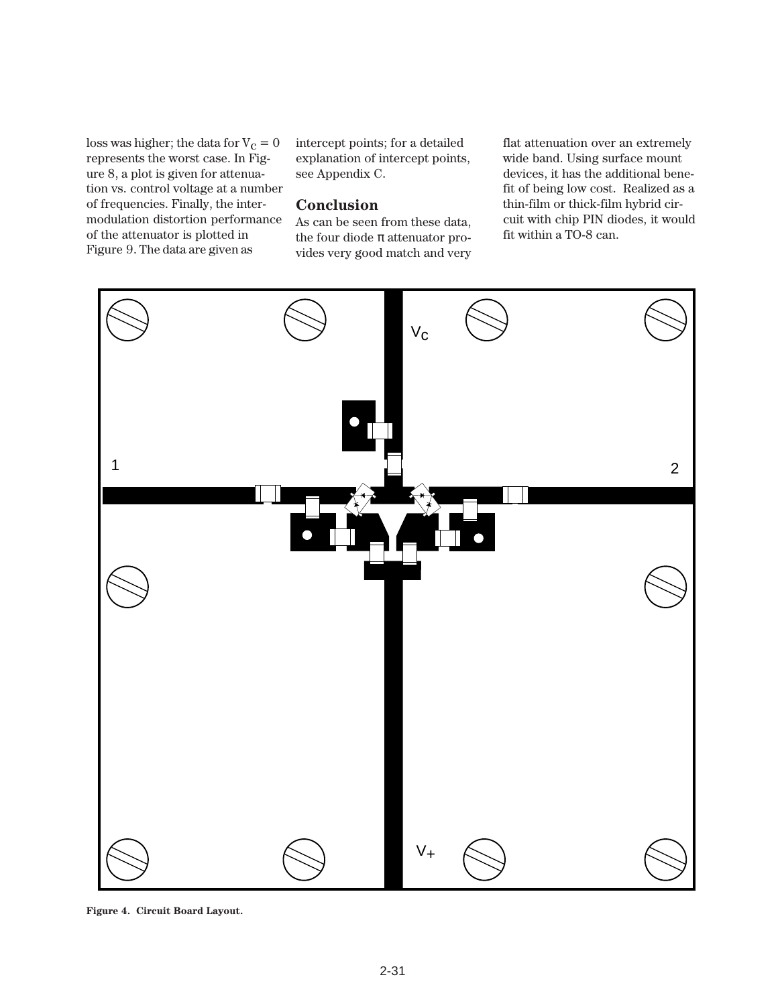loss was higher; the data for  $V_c = 0$ represents the worst case. In Figure 8, a plot is given for attenuation vs. control voltage at a number of frequencies. Finally, the intermodulation distortion performance of the attenuator is plotted in Figure␣ 9. The data are given as

intercept points; for a detailed explanation of intercept points, see Appendix C.

#### **Conclusion**

As can be seen from these data, the four diode  $\pi$  attenuator provides very good match and very flat attenuation over an extremely wide band. Using surface mount devices, it has the additional benefit of being low cost. Realized as a thin-film or thick-film hybrid circuit with chip PIN diodes, it would fit within a TO-8 can.



**Figure 4. Circuit Board Layout.**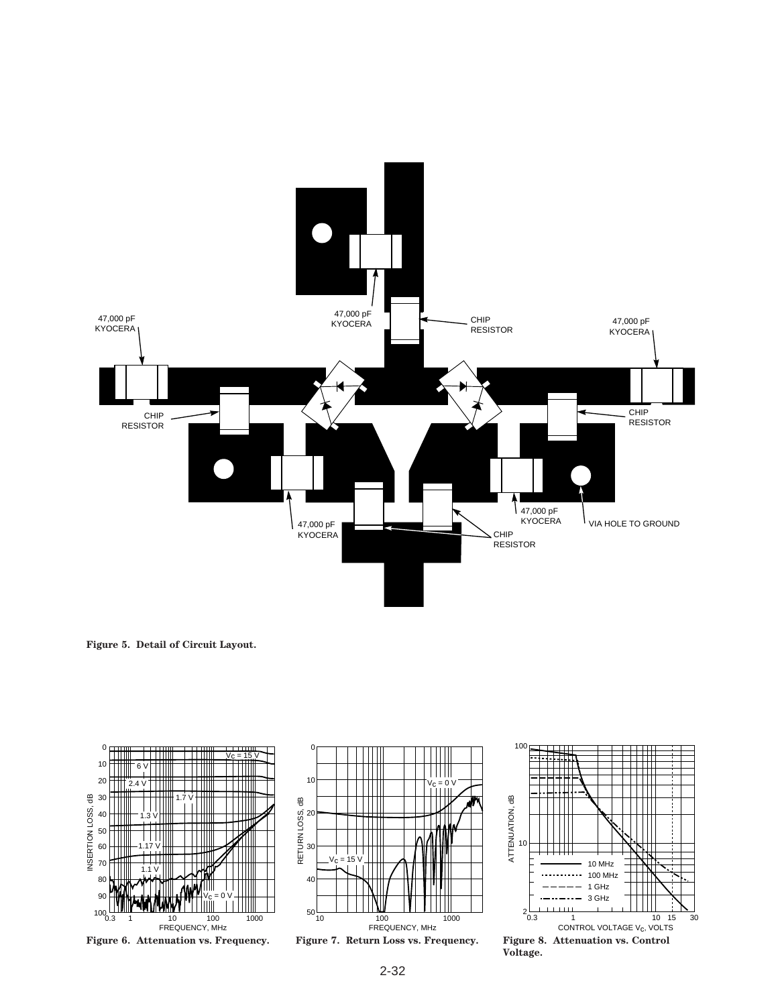

**Figure 5. Detail of Circuit Layout.**





 $\overline{0}$ 



**Figure 8. Attenuation vs. Control Voltage.**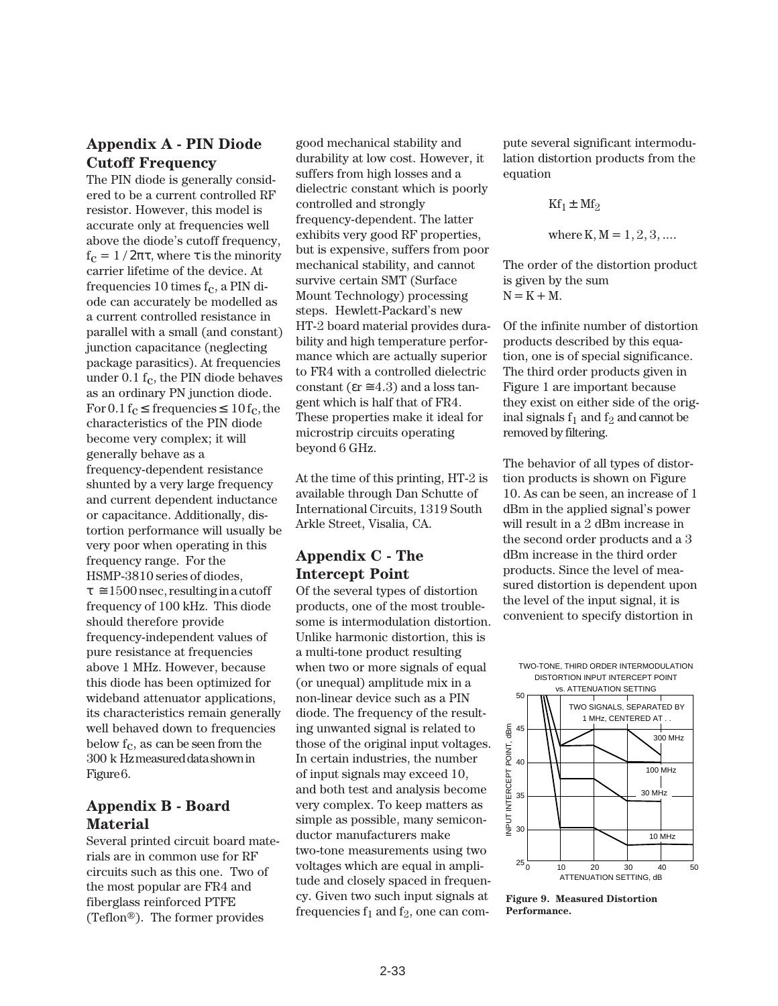## **Appendix A - PIN Diode Cutoff Frequency**

The PIN diode is generally considered to be a current controlled RF resistor. However, this model is accurate only at frequencies well above the diode's cutoff frequency,  $f_c = 1/2\pi\tau$ , where  $\tau$  is the minority carrier lifetime of the device. At frequencies 10 times  $f_c$ , a PIN diode can accurately be modelled as a current controlled resistance in parallel with a small (and constant) junction capacitance (neglecting package parasitics). At frequencies under  $0.1 f_c$ , the PIN diode behaves as an ordinary PN junction diode. For  $0.1 f_c \leq$  frequencies  $\leq 10 f_c$ , the characteristics of the PIN diode become very complex; it will generally behave as a frequency-dependent resistance shunted by a very large frequency and current dependent inductance or capacitance. Additionally, distortion performance will usually be very poor when operating in this frequency range. For the HSMP-3810 series of diodes,  $\tau \approx 1500$  nsec, resulting in a cutoff frequency of 100 kHz. This diode should therefore provide frequency-independent values of pure resistance at frequencies above 1 MHz. However, because this diode has been optimized for wideband attenuator applications, its characteristics remain generally well behaved down to frequencies below  $f_c$ , as can be seen from the 300␣ k Hz measured data shown in Figure 6.

## **Appendix B - Board Material**

Several printed circuit board materials are in common use for RF circuits such as this one. Two of the most popular are FR4 and fiberglass reinforced PTFE (Teflon®). The former provides

good mechanical stability and durability at low cost. However, it suffers from high losses and a dielectric constant which is poorly controlled and strongly frequency-dependent. The latter exhibits very good RF properties, but is expensive, suffers from poor mechanical stability, and cannot survive certain SMT (Surface Mount Technology) processing steps. Hewlett-Packard's new HT-2 board material provides durability and high temperature performance which are actually superior to FR4 with a controlled dielectric constant ( $\epsilon$ r  $\approx$  4.3) and a loss tangent which is half that of FR4. These properties make it ideal for microstrip circuits operating beyond 6 GHz.

At the time of this printing, HT-2 is available through Dan Schutte of International Circuits, 1319 South Arkle Street, Visalia, CA.

## **Appendix C - The Intercept Point**

Of the several types of distortion products, one of the most troublesome is intermodulation distortion. Unlike harmonic distortion, this is a multi-tone product resulting when two or more signals of equal (or unequal) amplitude mix in a non-linear device such as a PIN diode. The frequency of the resulting unwanted signal is related to those of the original input voltages. In certain industries, the number of input signals may exceed 10, and both test and analysis become very complex. To keep matters as simple as possible, many semiconductor manufacturers make two-tone measurements using two voltages which are equal in amplitude and closely spaced in frequency. Given two such input signals at frequencies  $f_1$  and  $f_2$ , one can compute several significant intermodulation distortion products from the equation

$$
Kf_1 \pm Mf_2
$$

where 
$$
K, M = 1, 2, 3, ...
$$

The order of the distortion product is given by the sum  $N = K + M$ .

Of the infinite number of distortion products described by this equation, one is of special significance. The third order products given in Figure 1 are important because they exist on either side of the original signals  $f_1$  and  $f_2$  and cannot be removed by filtering.

The behavior of all types of distortion products is shown on Figure 10. As can be seen, an increase of 1 dBm in the applied signal's power will result in a 2 dBm increase in the second order products and a 3 dBm increase in the third order products. Since the level of measured distortion is dependent upon the level of the input signal, it is convenient to specify distortion in

TWO-TONE, THIRD ORDER INTERMODULATION DISTORTION INPUT INTERCEPT POINT



**Figure 9. Measured Distortion Performance.**